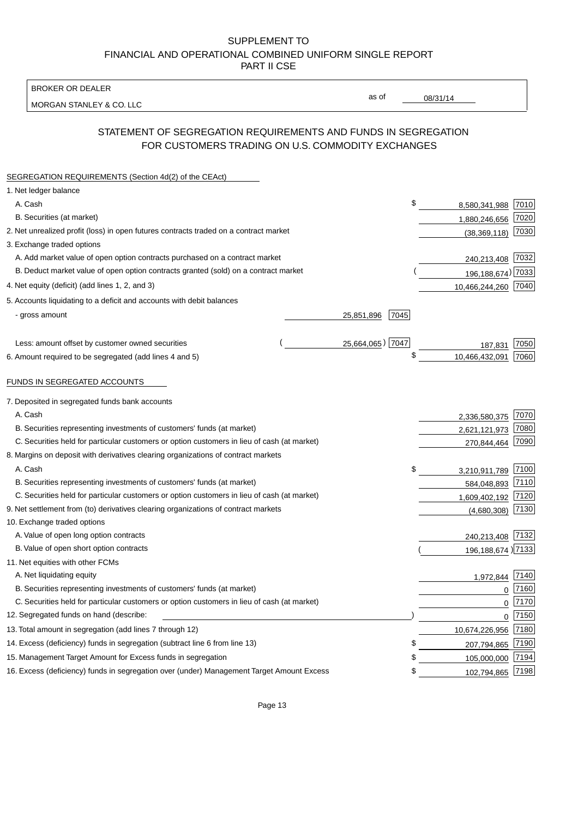BROKER OR DEALER

MORGAN STANLEY & CO. LLC

08/31/14

as of

# STATEMENT OF SEGREGATION REQUIREMENTS AND FUNDS IN SEGREGATION FOR CUSTOMERS TRADING ON U.S. COMMODITY EXCHANGES

| SEGREGATION REQUIREMENTS (Section 4d(2) of the CEAct)                                       |                    |                      |      |
|---------------------------------------------------------------------------------------------|--------------------|----------------------|------|
| 1. Net ledger balance                                                                       |                    |                      |      |
| A. Cash                                                                                     | \$                 | 8,580,341,988        | 7010 |
| B. Securities (at market)                                                                   |                    | 1,880,246,656        | 7020 |
| 2. Net unrealized profit (loss) in open futures contracts traded on a contract market       |                    | (38, 369, 118)       | 7030 |
| 3. Exchange traded options                                                                  |                    |                      |      |
| A. Add market value of open option contracts purchased on a contract market                 |                    | 240,213,408 7032     |      |
| B. Deduct market value of open option contracts granted (sold) on a contract market         |                    | 196, 188, 674) 7033  |      |
| 4. Net equity (deficit) (add lines 1, 2, and 3)                                             |                    | 10,466,244,260 7040  |      |
| 5. Accounts liquidating to a deficit and accounts with debit balances                       |                    |                      |      |
| - gross amount                                                                              | 7045<br>25,851,896 |                      |      |
|                                                                                             |                    |                      |      |
| Less: amount offset by customer owned securities                                            | 25,664,065) 7047   | 187,831              | 7050 |
| 6. Amount required to be segregated (add lines 4 and 5)                                     | \$                 | 10,466,432,091       | 7060 |
|                                                                                             |                    |                      |      |
| FUNDS IN SEGREGATED ACCOUNTS                                                                |                    |                      |      |
| 7. Deposited in segregated funds bank accounts                                              |                    |                      |      |
| A. Cash                                                                                     |                    | 2,336,580,375        | 7070 |
| B. Securities representing investments of customers' funds (at market)                      |                    | 2,621,121,973        | 7080 |
| C. Securities held for particular customers or option customers in lieu of cash (at market) |                    | 270,844,464          | 7090 |
| 8. Margins on deposit with derivatives clearing organizations of contract markets           |                    |                      |      |
| A. Cash                                                                                     | \$                 | 3,210,911,789        | 7100 |
| B. Securities representing investments of customers' funds (at market)                      |                    | 584,048,893          | 7110 |
| C. Securities held for particular customers or option customers in lieu of cash (at market) |                    | 1,609,402,192        | 7120 |
| 9. Net settlement from (to) derivatives clearing organizations of contract markets          |                    | (4,680,308)          | 7130 |
| 10. Exchange traded options                                                                 |                    |                      |      |
| A. Value of open long option contracts                                                      |                    | 240,213,408          | 7132 |
| B. Value of open short option contracts                                                     |                    | 196, 188, 674 ) 7133 |      |
| 11. Net equities with other FCMs                                                            |                    |                      |      |
| A. Net liquidating equity                                                                   |                    | 1,972,844            | 7140 |
| B. Securities representing investments of customers' funds (at market)                      |                    | $\mathbf 0$          | 7160 |
| C. Securities held for particular customers or option customers in lieu of cash (at market) |                    | 0                    | 7170 |
| 12. Segregated funds on hand (describe:                                                     |                    | 0                    | 7150 |
| 13. Total amount in segregation (add lines 7 through 12)                                    |                    | 10,674,226,956       | 7180 |
| 14. Excess (deficiency) funds in segregation (subtract line 6 from line 13)                 | \$                 | 207,794,865          | 7190 |
| 15. Management Target Amount for Excess funds in segregation                                | \$                 | 105,000,000          | 7194 |
| 16. Excess (deficiency) funds in segregation over (under) Management Target Amount Excess   | \$                 | 102,794,865          | 7198 |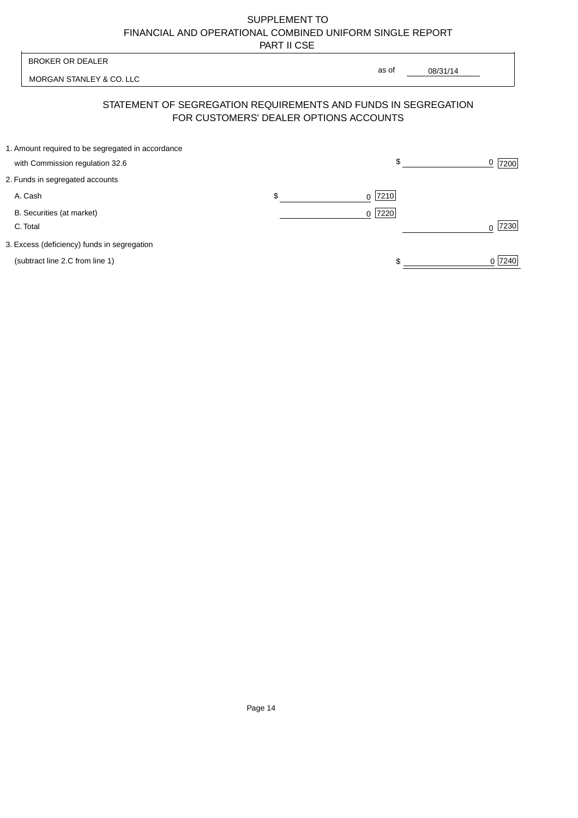| <b>BROKER OR DEALER</b>                                                                                  | as of           |              |                |
|----------------------------------------------------------------------------------------------------------|-----------------|--------------|----------------|
| MORGAN STANLEY & CO. LLC                                                                                 |                 | 08/31/14     |                |
| STATEMENT OF SEGREGATION REQUIREMENTS AND FUNDS IN SEGREGATION<br>FOR CUSTOMERS' DEALER OPTIONS ACCOUNTS |                 |              |                |
| 1. Amount required to be segregated in accordance<br>with Commission regulation 32.6                     |                 | $\mathbb{S}$ | <u>0</u>  7200 |
| 2. Funds in segregated accounts                                                                          |                 |              |                |
| A. Cash                                                                                                  | \$<br>$0$  7210 |              |                |
| B. Securities (at market)<br>C. Total                                                                    | $0$  7220       |              | 7230           |
| 3. Excess (deficiency) funds in segregation                                                              |                 |              |                |
| (subtract line 2.C from line 1)                                                                          |                 |              | 0 7240         |
|                                                                                                          |                 |              |                |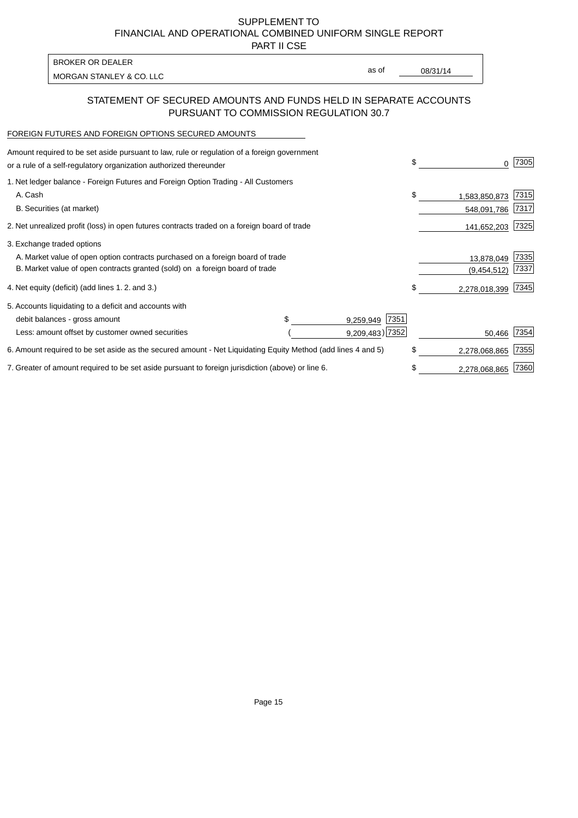PART II CSE

| BROKER OR DEALER         |       |          |
|--------------------------|-------|----------|
| MORGAN STANLEY & CO. LLC | as of | 08/31/14 |
|                          |       |          |

### STATEMENT OF SECURED AMOUNTS AND FUNDS HELD IN SEPARATE ACCOUNTS PURSUANT TO COMMISSION REGULATION 30.7

#### FOREIGN FUTURES AND FOREIGN OPTIONS SECURED AMOUNTS

| Amount required to be set aside pursuant to law, rule or regulation of a foreign government<br>or a rule of a self-regulatory organization authorized thereunder |  |                    | \$<br>0             | 7305 |
|------------------------------------------------------------------------------------------------------------------------------------------------------------------|--|--------------------|---------------------|------|
| 1. Net ledger balance - Foreign Futures and Foreign Option Trading - All Customers                                                                               |  |                    |                     |      |
| A. Cash                                                                                                                                                          |  |                    | \$<br>1,583,850,873 | 7315 |
| B. Securities (at market)                                                                                                                                        |  |                    | 548,091,786         | 7317 |
| 2. Net unrealized profit (loss) in open futures contracts traded on a foreign board of trade                                                                     |  |                    | 141,652,203         | 7325 |
| 3. Exchange traded options                                                                                                                                       |  |                    |                     |      |
| A. Market value of open option contracts purchased on a foreign board of trade                                                                                   |  |                    | 13,878,049          | 7335 |
| B. Market value of open contracts granted (sold) on a foreign board of trade                                                                                     |  |                    | (9,454,512)         | 7337 |
| 4. Net equity (deficit) (add lines 1.2. and 3.)                                                                                                                  |  |                    | \$<br>2,278,018,399 | 7345 |
| 5. Accounts liquidating to a deficit and accounts with                                                                                                           |  |                    |                     |      |
| debit balances - gross amount                                                                                                                                    |  | 7351<br>9,259,949  |                     |      |
| Less: amount offset by customer owned securities                                                                                                                 |  | $9,209,483$ ) 7352 | 50,466              | 7354 |
| 6. Amount required to be set aside as the secured amount - Net Liquidating Equity Method (add lines 4 and 5)                                                     |  |                    | \$<br>2,278,068,865 | 7355 |
| 7. Greater of amount required to be set aside pursuant to foreign jurisdiction (above) or line 6.                                                                |  |                    | \$<br>2,278,068,865 | 7360 |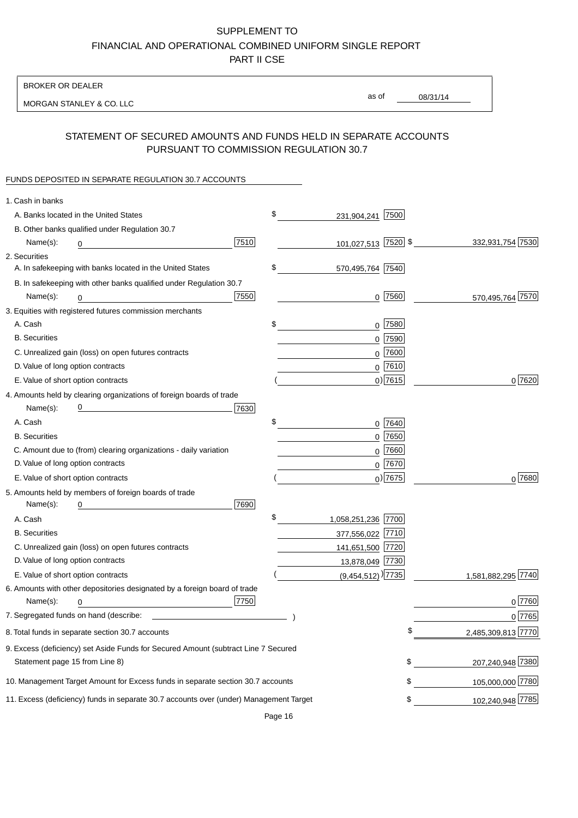BROKER OR DEALER

MORGAN STANLEY & CO. LLC

08/31/14

as of

# STATEMENT OF SECURED AMOUNTS AND FUNDS HELD IN SEPARATE ACCOUNTS PURSUANT TO COMMISSION REGULATION 30.7

### FUNDS DEPOSITED IN SEPARATE REGULATION 30.7 ACCOUNTS

| 1. Cash in banks                  |                                                                                                                      |      |                                   |             |                    |
|-----------------------------------|----------------------------------------------------------------------------------------------------------------------|------|-----------------------------------|-------------|--------------------|
|                                   | A. Banks located in the United States                                                                                |      | \$<br>231,904,241 7500            |             |                    |
|                                   | B. Other banks qualified under Regulation 30.7                                                                       |      |                                   |             |                    |
| Name(s):                          | 0                                                                                                                    | 7510 | 101,027,513 7520 \$               |             | 332,931,754 7530   |
| 2. Securities                     |                                                                                                                      |      |                                   |             |                    |
|                                   | A. In safekeeping with banks located in the United States                                                            |      | \$<br>570,495,764 7540            |             |                    |
|                                   | B. In safekeeping with other banks qualified under Regulation 30.7                                                   |      |                                   |             |                    |
| Name(s):                          | 0                                                                                                                    | 7550 |                                   | $0$ 7560    | 570,495,764 7570   |
|                                   | 3. Equities with registered futures commission merchants                                                             |      |                                   |             |                    |
| A. Cash                           |                                                                                                                      |      | \$                                | $0$ 7580    |                    |
| <b>B.</b> Securities              |                                                                                                                      |      |                                   | $0$ 7590    |                    |
|                                   | C. Unrealized gain (loss) on open futures contracts                                                                  |      |                                   | $0$ 7600    |                    |
| D. Value of long option contracts |                                                                                                                      |      |                                   | $0$ 7610    |                    |
|                                   | E. Value of short option contracts                                                                                   |      |                                   | $0$ ) 7615  | 0 7620             |
|                                   | 4. Amounts held by clearing organizations of foreign boards of trade                                                 |      |                                   |             |                    |
| Name(s):                          | <u> 1989 - Johann Barn, mars eta bat erroman erroman erroman erroman erroman erroman erroman erroman erroman err</u> | 7630 |                                   |             |                    |
| A. Cash                           |                                                                                                                      |      | \$                                | 0 7640      |                    |
| <b>B.</b> Securities              |                                                                                                                      |      |                                   | $0$ 7650    |                    |
|                                   | C. Amount due to (from) clearing organizations - daily variation                                                     |      |                                   | $0$ 7660    |                    |
| D. Value of long option contracts |                                                                                                                      |      |                                   | $0^{7670}$  |                    |
|                                   | E. Value of short option contracts                                                                                   |      |                                   | $_0$ ) 7675 | $0^{7680}$         |
|                                   | 5. Amounts held by members of foreign boards of trade                                                                |      |                                   |             |                    |
| Name(s):                          | 0                                                                                                                    | 7690 |                                   |             |                    |
| A. Cash                           |                                                                                                                      |      | \$<br>1,058,251,236 7700          |             |                    |
| <b>B.</b> Securities              |                                                                                                                      |      | 377,556,022 7710                  |             |                    |
|                                   | C. Unrealized gain (loss) on open futures contracts                                                                  |      | 141,651,500 7720                  |             |                    |
| D. Value of long option contracts |                                                                                                                      |      | 13,878,049 7730                   |             |                    |
|                                   | E. Value of short option contracts                                                                                   |      | $(9,454,512)$ <sup>)</sup> [7735] |             | 1,581,882,295 7740 |
|                                   | 6. Amounts with other depositories designated by a foreign board of trade                                            |      |                                   |             |                    |
| Name(s):                          | 0                                                                                                                    | 7750 |                                   |             | 0 7760             |
|                                   |                                                                                                                      |      |                                   |             | 0 7765             |
|                                   | 8. Total funds in separate section 30.7 accounts                                                                     |      |                                   | \$          | 2,485,309,813 7770 |
|                                   | 9. Excess (deficiency) set Aside Funds for Secured Amount (subtract Line 7 Secured                                   |      |                                   |             |                    |
| Statement page 15 from Line 8)    |                                                                                                                      |      |                                   | \$          | 207,240,948 7380   |
|                                   | 10. Management Target Amount for Excess funds in separate section 30.7 accounts                                      |      |                                   | \$          | 105,000,000 7780   |
|                                   | 11. Excess (deficiency) funds in separate 30.7 accounts over (under) Management Target                               |      |                                   | \$          | 102,240,948 7785   |
|                                   |                                                                                                                      |      |                                   |             |                    |